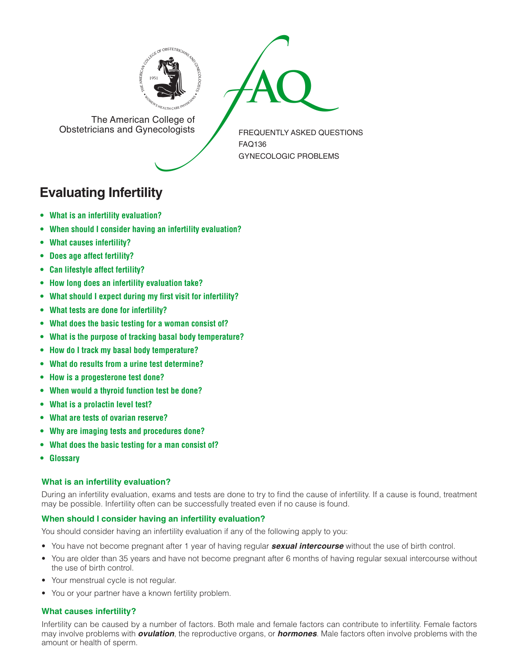



The American College of<br>Obstetricians and Gynecologists

FREQUENTLY ASKED QUESTIONS FAQ136 GYNECOLOGIC PROBLEMS

# **Evaluating Infertility**

- **• What is an infertility [evaluation?](#page-0-0)**
- **• When should I consider having an infertility [evaluation?](#page-0-1)**
- **• What causes [infertility?](#page-0-2)**
- **• Does age affect [fertility?](#page-1-0)**
- **• Can lifestyle affect [fertility?](#page-1-1)**
- **• How long does an infertility [evaluation](#page-1-2) take?**
- **• What should I expect during my first visit for [infertility?](#page-1-3)**
- **• What tests are done for [infertility?](#page-1-4)**
- **[• What](#page-1-5) does the basic testing for a woman consist of?**
- **• What is the purpose of tracking basal body [temperature?](#page-1-6)**
- **• How do I track my basal body [temperature?](#page-1-7)**
- **• What do results from a urine test [determine?](#page-1-8)**
- **• How is a [progesterone](#page-1-9) test done?**
- **[• When](#page-1-10) would a thyroid function test be done?**
- **• What is a [prolactin](#page-2-0) level test?**
- **• What are tests of ovarian [reserve?](#page-2-1)**
- **• Why are imaging tests and [procedures](#page-2-2) done?**
- **[• What](#page-2-3) does the basic testing for a man consist of?**
- **[• Glossary](#page-2-4)**

# <span id="page-0-0"></span>**What is an infertility evaluation?**

During an infertility evaluation, exams and tests are done to try to find the cause of infertility. If a cause is found, treatment may be possible. Infertility often can be successfully treated even if no cause is found.

# <span id="page-0-1"></span>**When should I consider having an infertility evaluation?**

You should consider having an infertility evaluation if any of the following apply to you:

- • You have not become pregnant after 1 year of having regular *sexual intercourse* without the use of birth control.
- You are older than 35 years and have not become pregnant after 6 months of having regular sexual intercourse without the use of birth control.
- Your menstrual cycle is not regular.
- You or your partner have a known fertility problem.

# <span id="page-0-2"></span>**What causes infertility?**

Infertility can be caused by a number of factors. Both male and female factors can contribute to infertility. Female factors may involve problems with *ovulation*, the reproductive organs, or *hormones*. Male factors often involve problems with the amount or health of sperm.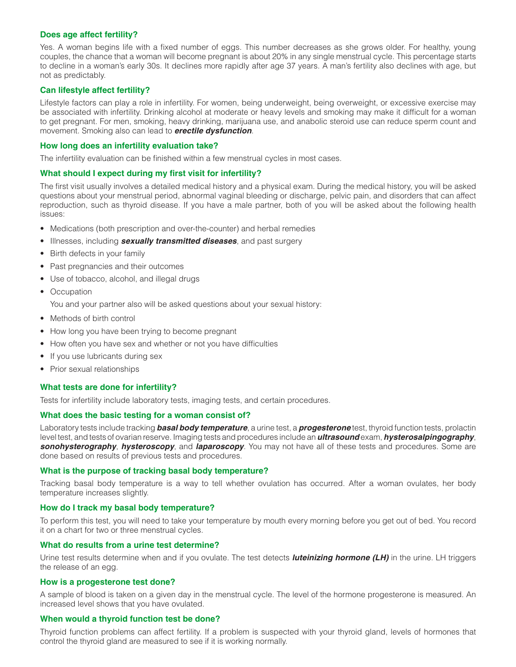## <span id="page-1-0"></span>**Does age affect fertility?**

Yes. A woman begins life with a fixed number of eggs. This number decreases as she grows older. For healthy, young couples, the chance that a woman will become pregnant is about 20% in any single menstrual cycle. This percentage starts to decline in a woman's early 30s. It declines more rapidly after age 37 years. A man's fertility also declines with age, but not as predictably.

# <span id="page-1-1"></span>**Can lifestyle affect fertility?**

Lifestyle factors can play a role in infertility. For women, being underweight, being overweight, or excessive exercise may be associated with infertility. Drinking alcohol at moderate or heavy levels and smoking may make it difficult for a woman to get pregnant. For men, smoking, heavy drinking, marijuana use, and anabolic steroid use can reduce sperm count and movement. Smoking also can lead to *erectile dysfunction*.

### <span id="page-1-2"></span>**How long does an infertility evaluation take?**

The infertility evaluation can be finished within a few menstrual cycles in most cases.

### <span id="page-1-3"></span>**What should I expect during my first visit for infertility?**

The first visit usually involves a detailed medical history and a physical exam. During the medical history, you will be asked questions about your menstrual period, abnormal vaginal bleeding or discharge, pelvic pain, and disorders that can affect reproduction, such as thyroid disease. If you have a male partner, both of you will be asked about the following health issues:

- Medications (both prescription and over-the-counter) and herbal remedies
- • Illnesses, including *sexually transmitted diseases*, and past surgery
- Birth defects in your family
- Past pregnancies and their outcomes
- Use of tobacco, alcohol, and illegal drugs
- Occupation
	- You and your partner also will be asked questions about your sexual history:
- Methods of birth control
- How long you have been trying to become pregnant
- How often you have sex and whether or not you have difficulties
- If you use lubricants during sex
- Prior sexual relationships

# <span id="page-1-4"></span>**What tests are done for infertility?**

Tests for infertility include laboratory tests, imaging tests, and certain procedures.

#### <span id="page-1-5"></span>**What does the basic testing for a woman consist of?**

Laboratory tests include tracking *basal body temperature*, a urine test, a *progesterone* test, thyroid function tests, prolactin level test, and tests of ovarian reserve. Imaging tests and procedures include an *ultrasound* exam, *hysterosalpingography*, *sonohysterography*, *hysteroscopy*, and *laparoscopy*. You may not have all of these tests and procedures. Some are done based on results of previous tests and procedures.

#### <span id="page-1-6"></span>**What is the purpose of tracking basal body temperature?**

Tracking basal body temperature is a way to tell whether ovulation has occurred. After a woman ovulates, her body temperature increases slightly.

#### <span id="page-1-7"></span>**How do I track my basal body temperature?**

To perform this test, you will need to take your temperature by mouth every morning before you get out of bed. You record it on a chart for two or three menstrual cycles.

#### <span id="page-1-8"></span>**What do results from a urine test determine?**

Urine test results determine when and if you ovulate. The test detects *luteinizing hormone (LH)* in the urine. LH triggers the release of an egg.

#### <span id="page-1-9"></span>**How is a progesterone test done?**

A sample of blood is taken on a given day in the menstrual cycle. The level of the hormone progesterone is measured. An increased level shows that you have ovulated.

#### <span id="page-1-10"></span>**When would a thyroid function test be done?**

Thyroid function problems can affect fertility. If a problem is suspected with your thyroid gland, levels of hormones that control the thyroid gland are measured to see if it is working normally.